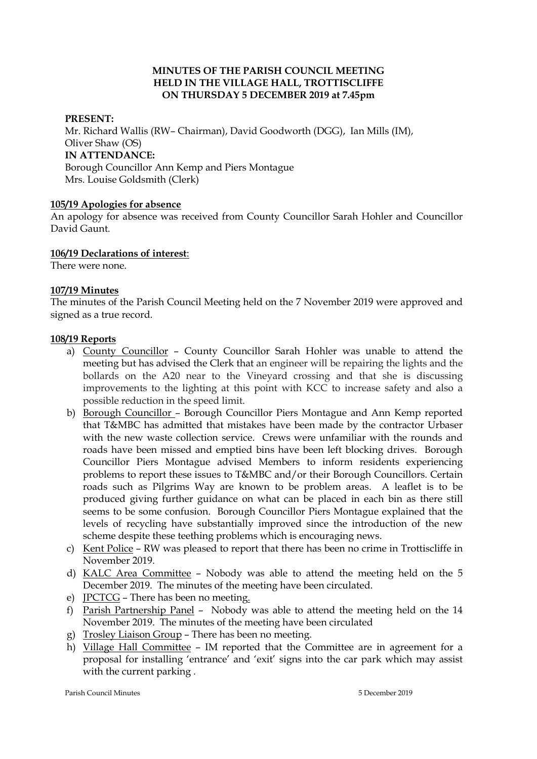### **MINUTES OF THE PARISH COUNCIL MEETING HELD IN THE VILLAGE HALL, TROTTISCLIFFE ON THURSDAY 5 DECEMBER 2019 at 7.45pm**

#### **PRESENT:**

Mr. Richard Wallis (RW– Chairman), David Goodworth (DGG), Ian Mills (IM), Oliver Shaw (OS) **IN ATTENDANCE:**  Borough Councillor Ann Kemp and Piers Montague Mrs. Louise Goldsmith (Clerk)

#### **105/19 Apologies for absence**

An apology for absence was received from County Councillor Sarah Hohler and Councillor David Gaunt.

#### **106/19 Declarations of interest**:

There were none.

#### **107/19 Minutes**

The minutes of the Parish Council Meeting held on the 7 November 2019 were approved and signed as a true record.

#### **108/19 Reports**

- a) County Councillor County Councillor Sarah Hohler was unable to attend the meeting but has advised the Clerk that an engineer will be repairing the lights and the bollards on the A20 near to the Vineyard crossing and that she is discussing improvements to the lighting at this point with KCC to increase safety and also a possible reduction in the speed limit.
- b) Borough Councillor Borough Councillor Piers Montague and Ann Kemp reported that T&MBC has admitted that mistakes have been made by the contractor Urbaser with the new waste collection service. Crews were unfamiliar with the rounds and roads have been missed and emptied bins have been left blocking drives. Borough Councillor Piers Montague advised Members to inform residents experiencing problems to report these issues to T&MBC and/or their Borough Councillors. Certain roads such as Pilgrims Way are known to be problem areas. A leaflet is to be produced giving further guidance on what can be placed in each bin as there still seems to be some confusion. Borough Councillor Piers Montague explained that the levels of recycling have substantially improved since the introduction of the new scheme despite these teething problems which is encouraging news.
- c) Kent Police RW was pleased to report that there has been no crime in Trottiscliffe in November 2019.
- d) KALC Area Committee Nobody was able to attend the meeting held on the 5 December 2019. The minutes of the meeting have been circulated.
- e) JPCTCG There has been no meeting.
- f) Parish Partnership Panel Nobody was able to attend the meeting held on the 14 November 2019. The minutes of the meeting have been circulated
- g) Trosley Liaison Group There has been no meeting.
- h) Village Hall Committee IM reported that the Committee are in agreement for a proposal for installing 'entrance' and 'exit' signs into the car park which may assist with the current parking .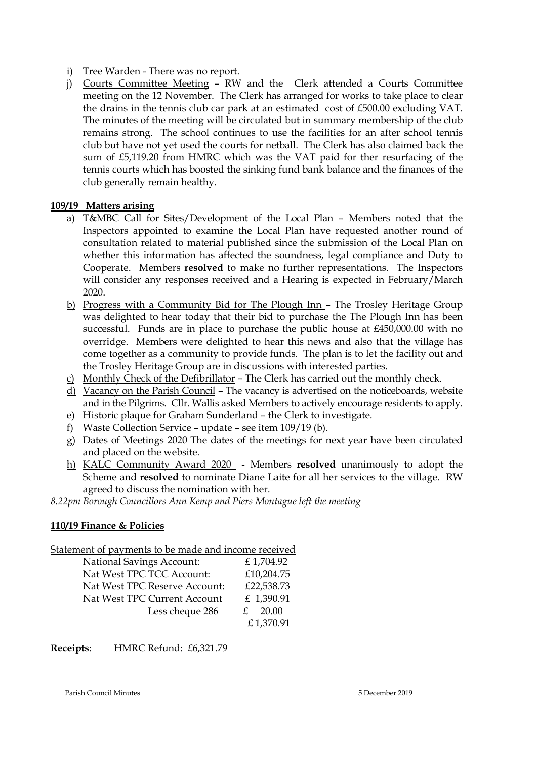- i) Tree Warden There was no report.
- j) Courts Committee Meeting RW and the Clerk attended a Courts Committee meeting on the 12 November. The Clerk has arranged for works to take place to clear the drains in the tennis club car park at an estimated cost of £500.00 excluding VAT. The minutes of the meeting will be circulated but in summary membership of the club remains strong. The school continues to use the facilities for an after school tennis club but have not yet used the courts for netball. The Clerk has also claimed back the sum of £5,119.20 from HMRC which was the VAT paid for ther resurfacing of the tennis courts which has boosted the sinking fund bank balance and the finances of the club generally remain healthy.

## **109/19 Matters arising**

- a) T&MBC Call for Sites/Development of the Local Plan Members noted that the Inspectors appointed to examine the Local Plan have requested another round of consultation related to material published since the submission of the Local Plan on whether this information has affected the soundness, legal compliance and Duty to Cooperate. Members **resolved** to make no further representations. The Inspectors will consider any responses received and a Hearing is expected in February/March 2020.
- b) Progress with a Community Bid for The Plough Inn The Trosley Heritage Group was delighted to hear today that their bid to purchase the The Plough Inn has been successful. Funds are in place to purchase the public house at £450,000.00 with no overridge. Members were delighted to hear this news and also that the village has come together as a community to provide funds. The plan is to let the facility out and the Trosley Heritage Group are in discussions with interested parties.
- c) Monthly Check of the Defibrillator The Clerk has carried out the monthly check.
- d) Vacancy on the Parish Council The vacancy is advertised on the noticeboards, website and in the Pilgrims. Cllr. Wallis asked Members to actively encourage residents to apply.
- e) Historic plaque for Graham Sunderland the Clerk to investigate.
- f) Waste Collection Service update see item  $109/19$  (b).
- g) Dates of Meetings 2020 The dates of the meetings for next year have been circulated and placed on the website.
- h) KALC Community Award 2020 Members **resolved** unanimously to adopt the Scheme and **resolved** to nominate Diane Laite for all her services to the village. RW agreed to discuss the nomination with her.

*8.22pm Borough Councillors Ann Kemp and Piers Montague left the meeting* 

# **110/19 Finance & Policies**

## Statement of payments to be made and income received

| <b>National Savings Account:</b> | £1,704.92  |
|----------------------------------|------------|
| Nat West TPC TCC Account:        | £10,204.75 |
| Nat West TPC Reserve Account:    | £22,538.73 |
| Nat West TPC Current Account     | £ 1,390.91 |
| Less cheque 286                  | 20.00      |
|                                  | £1,370.91  |

**Receipts**: HMRC Refund: £6,321.79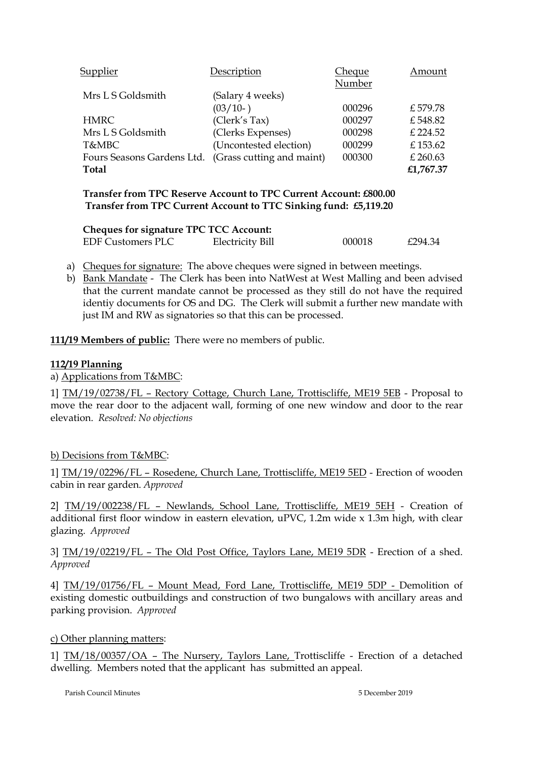| Supplier    |                   | Description                                          | Cheque | Amount    |
|-------------|-------------------|------------------------------------------------------|--------|-----------|
|             |                   |                                                      | Number |           |
|             | Mrs L S Goldsmith | (Salary 4 weeks)                                     |        |           |
|             |                   | (03/10)                                              | 000296 | £579.78   |
| <b>HMRC</b> |                   | (Clerk's Tax)                                        | 000297 | £548.82   |
|             | Mrs L S Goldsmith | (Clerks Expenses)                                    | 000298 | £ 224.52  |
| T&MBC       |                   | (Uncontested election)                               | 000299 | £153.62   |
|             |                   | Fours Seasons Gardens Ltd. (Grass cutting and maint) | 000300 | £ 260.63  |
| Total       |                   |                                                      |        | £1,767.37 |

**Transfer from TPC Reserve Account to TPC Current Account: £800.00 Transfer from TPC Current Account to TTC Sinking fund: £5,119.20**

| <b>Cheques for signature TPC TCC Account:</b> |                         |        |         |  |  |  |
|-----------------------------------------------|-------------------------|--------|---------|--|--|--|
| <b>EDF Customers PLC</b>                      | <b>Electricity Bill</b> | 000018 | £294.34 |  |  |  |

a) Cheques for signature: The above cheques were signed in between meetings.

b) Bank Mandate - The Clerk has been into NatWest at West Malling and been advised that the current mandate cannot be processed as they still do not have the required identiy documents for OS and DG. The Clerk will submit a further new mandate with just IM and RW as signatories so that this can be processed.

**111/19 Members of public:** There were no members of public.

#### **112/19 Planning**

a) Applications from T&MBC:

1] TM/19/02738/FL – Rectory Cottage, Church Lane, Trottiscliffe, ME19 5EB - Proposal to move the rear door to the adjacent wall, forming of one new window and door to the rear elevation. *Resolved: No objections*

## b) Decisions from T&MBC:

1] TM/19/02296/FL – Rosedene, Church Lane, Trottiscliffe, ME19 5ED - Erection of wooden cabin in rear garden. *Approved*

2] TM/19/002238/FL – Newlands, School Lane, Trottiscliffe, ME19 5EH - Creation of additional first floor window in eastern elevation, uPVC, 1.2m wide x 1.3m high, with clear glazing. *Approved*

3] TM/19/02219/FL – The Old Post Office, Taylors Lane, ME19 5DR - Erection of a shed. *Approved*

4] TM/19/01756/FL – Mount Mead, Ford Lane, Trottiscliffe, ME19 5DP - Demolition of existing domestic outbuildings and construction of two bungalows with ancillary areas and parking provision. *Approved*

#### c) Other planning matters:

1] TM/18/00357/OA – The Nursery, Taylors Lane, Trottiscliffe - Erection of a detached dwelling. Members noted that the applicant has submitted an appeal.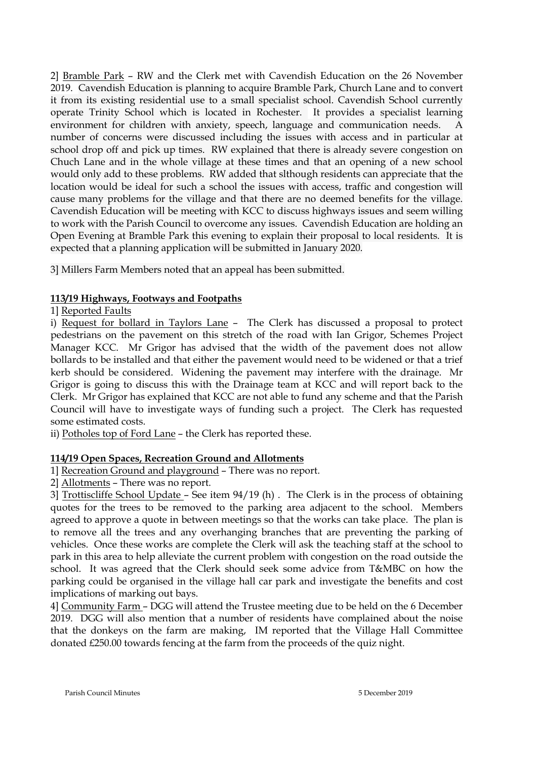2] Bramble Park – RW and the Clerk met with Cavendish Education on the 26 November 2019. Cavendish Education is planning to acquire Bramble Park, Church Lane and to convert it from its existing residential use to a small specialist school. Cavendish School currently operate Trinity School which is located in Rochester. It provides a specialist learning environment for children with anxiety, speech, language and communication needs. A number of concerns were discussed including the issues with access and in particular at school drop off and pick up times. RW explained that there is already severe congestion on Chuch Lane and in the whole village at these times and that an opening of a new school would only add to these problems. RW added that slthough residents can appreciate that the location would be ideal for such a school the issues with access, traffic and congestion will cause many problems for the village and that there are no deemed benefits for the village. Cavendish Education will be meeting with KCC to discuss highways issues and seem willing to work with the Parish Council to overcome any issues. Cavendish Education are holding an Open Evening at Bramble Park this evening to explain their proposal to local residents. It is expected that a planning application will be submitted in January 2020.

3] Millers Farm Members noted that an appeal has been submitted.

## **113/19 Highways, Footways and Footpaths**

1] Reported Faults

i) Request for bollard in Taylors Lane – The Clerk has discussed a proposal to protect pedestrians on the pavement on this stretch of the road with Ian Grigor, Schemes Project Manager KCC. Mr Grigor has advised that the width of the pavement does not allow bollards to be installed and that either the pavement would need to be widened or that a trief kerb should be considered. Widening the pavement may interfere with the drainage. Mr Grigor is going to discuss this with the Drainage team at KCC and will report back to the Clerk. Mr Grigor has explained that KCC are not able to fund any scheme and that the Parish Council will have to investigate ways of funding such a project. The Clerk has requested some estimated costs.

ii) Potholes top of Ford Lane – the Clerk has reported these.

# **114/19 Open Spaces, Recreation Ground and Allotments**

1] Recreation Ground and playground – There was no report.

2] Allotments – There was no report.

3] Trottiscliffe School Update – See item 94/19 (h) . The Clerk is in the process of obtaining quotes for the trees to be removed to the parking area adjacent to the school. Members agreed to approve a quote in between meetings so that the works can take place. The plan is to remove all the trees and any overhanging branches that are preventing the parking of vehicles. Once these works are complete the Clerk will ask the teaching staff at the school to park in this area to help alleviate the current problem with congestion on the road outside the school. It was agreed that the Clerk should seek some advice from T&MBC on how the parking could be organised in the village hall car park and investigate the benefits and cost implications of marking out bays.

4] Community Farm – DGG will attend the Trustee meeting due to be held on the 6 December 2019. DGG will also mention that a number of residents have complained about the noise that the donkeys on the farm are making, IM reported that the Village Hall Committee donated £250.00 towards fencing at the farm from the proceeds of the quiz night.